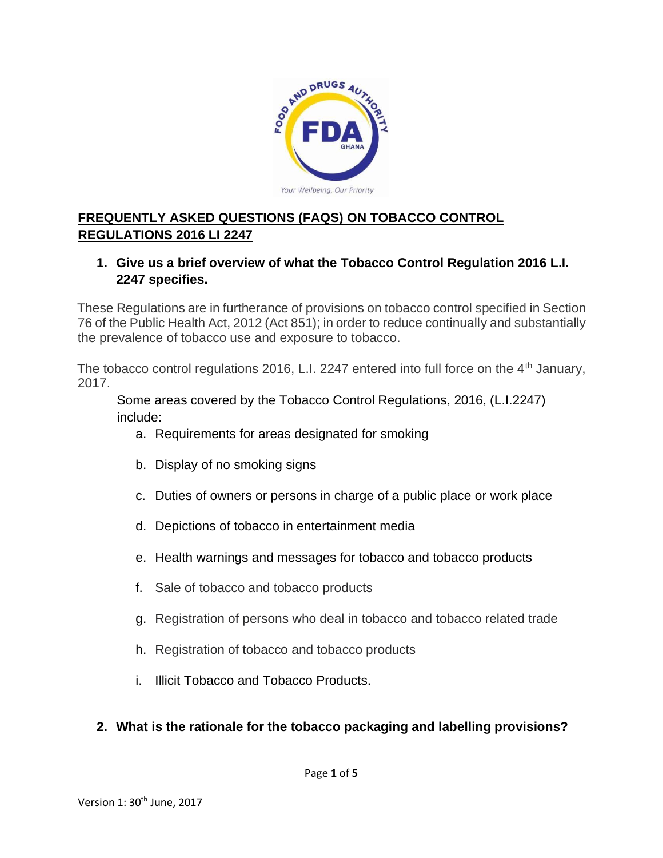

# **FREQUENTLY ASKED QUESTIONS (FAQS) ON TOBACCO CONTROL REGULATIONS 2016 LI 2247**

### **1. Give us a brief overview of what the Tobacco Control Regulation 2016 L.I. 2247 specifies.**

These Regulations are in furtherance of provisions on tobacco control specified in Section 76 of the Public Health Act, 2012 (Act 851); in order to reduce continually and substantially the prevalence of tobacco use and exposure to tobacco.

The tobacco control regulations 2016, L.I. 2247 entered into full force on the  $4<sup>th</sup>$  January, 2017.

Some areas covered by the Tobacco Control Regulations, 2016, (L.I.2247) include:

- a. Requirements for areas designated for smoking
- b. Display of no smoking signs
- c. Duties of owners or persons in charge of a public place or work place
- d. Depictions of tobacco in entertainment media
- e. Health warnings and messages for tobacco and tobacco products
- f. Sale of tobacco and tobacco products
- g. Registration of persons who deal in tobacco and tobacco related trade
- h. Registration of tobacco and tobacco products
- i. Illicit Tobacco and Tobacco Products.

## **2. What is the rationale for the tobacco packaging and labelling provisions?**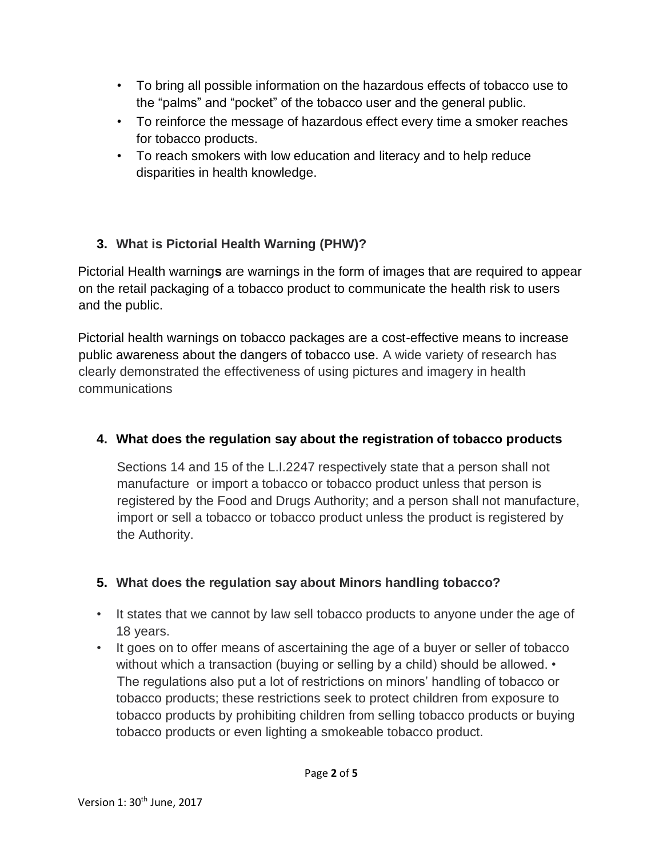- To bring all possible information on the hazardous effects of tobacco use to the "palms" and "pocket" of the tobacco user and the general public.
- To reinforce the message of hazardous effect every time a smoker reaches for tobacco products.
- To reach smokers with low education and literacy and to help reduce disparities in health knowledge.

# **3. What is Pictorial Health Warning (PHW)?**

Pictorial Health warning**s** are warnings in the form of images that are required to appear on the retail packaging of a tobacco product to communicate the health risk to users and the public.

Pictorial health warnings on tobacco packages are a cost-effective means to increase public awareness about the dangers of tobacco use. A wide variety of research has clearly demonstrated the effectiveness of using pictures and imagery in health communications

## **4. What does the regulation say about the registration of tobacco products**

Sections 14 and 15 of the L.I.2247 respectively state that a person shall not manufacture or import a tobacco or tobacco product unless that person is registered by the Food and Drugs Authority; and a person shall not manufacture, import or sell a tobacco or tobacco product unless the product is registered by the Authority.

# **5. What does the regulation say about Minors handling tobacco?**

- It states that we cannot by law sell tobacco products to anyone under the age of 18 years.
- It goes on to offer means of ascertaining the age of a buyer or seller of tobacco without which a transaction (buying or selling by a child) should be allowed. • The regulations also put a lot of restrictions on minors' handling of tobacco or tobacco products; these restrictions seek to protect children from exposure to tobacco products by prohibiting children from selling tobacco products or buying tobacco products or even lighting a smokeable tobacco product.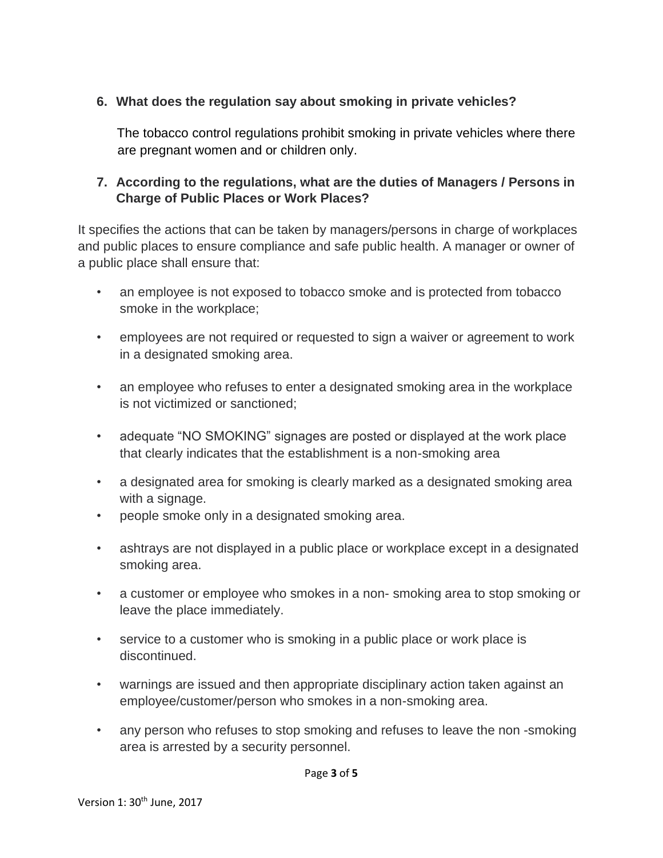## **6. What does the regulation say about smoking in private vehicles?**

The tobacco control regulations prohibit smoking in private vehicles where there are pregnant women and or children only.

#### **7. According to the regulations, what are the duties of Managers / Persons in Charge of Public Places or Work Places?**

It specifies the actions that can be taken by managers/persons in charge of workplaces and public places to ensure compliance and safe public health. A manager or owner of a public place shall ensure that:

- an employee is not exposed to tobacco smoke and is protected from tobacco smoke in the workplace;
- employees are not required or requested to sign a waiver or agreement to work in a designated smoking area.
- an employee who refuses to enter a designated smoking area in the workplace is not victimized or sanctioned;
- adequate "NO SMOKING" signages are posted or displayed at the work place that clearly indicates that the establishment is a non-smoking area
- a designated area for smoking is clearly marked as a designated smoking area with a signage.
- people smoke only in a designated smoking area.
- ashtrays are not displayed in a public place or workplace except in a designated smoking area.
- a customer or employee who smokes in a non- smoking area to stop smoking or leave the place immediately.
- service to a customer who is smoking in a public place or work place is discontinued.
- warnings are issued and then appropriate disciplinary action taken against an employee/customer/person who smokes in a non-smoking area.
- any person who refuses to stop smoking and refuses to leave the non -smoking area is arrested by a security personnel.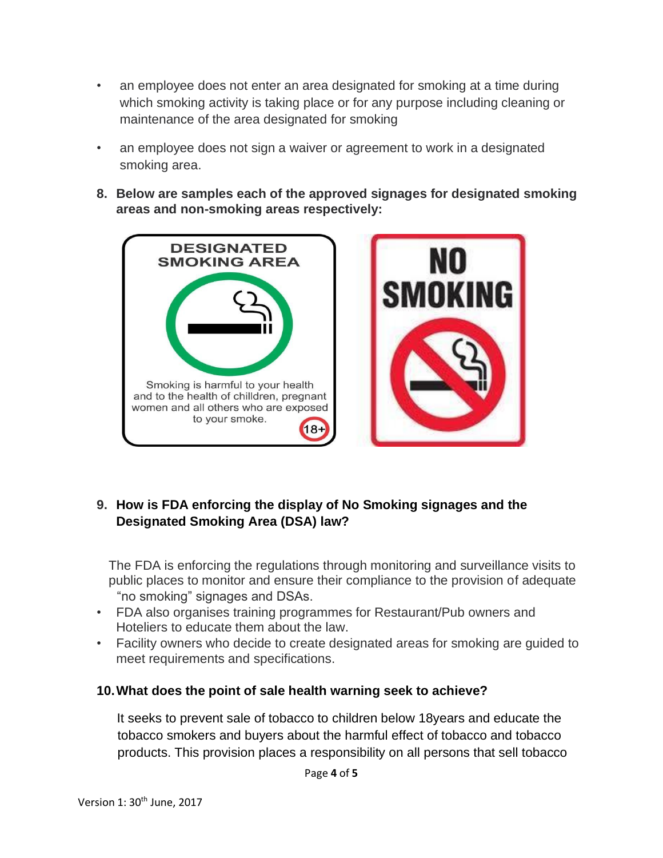- an employee does not enter an area designated for smoking at a time during which smoking activity is taking place or for any purpose including cleaning or maintenance of the area designated for smoking
- an employee does not sign a waiver or agreement to work in a designated smoking area.
- **8. Below are samples each of the approved signages for designated smoking areas and non-smoking areas respectively:**



## **9. How is FDA enforcing the display of No Smoking signages and the Designated Smoking Area (DSA) law?**

The FDA is enforcing the regulations through monitoring and surveillance visits to public places to monitor and ensure their compliance to the provision of adequate "no smoking" signages and DSAs.

- FDA also organises training programmes for Restaurant/Pub owners and Hoteliers to educate them about the law.
- Facility owners who decide to create designated areas for smoking are guided to meet requirements and specifications.

#### **10.What does the point of sale health warning seek to achieve?**

It seeks to prevent sale of tobacco to children below 18years and educate the tobacco smokers and buyers about the harmful effect of tobacco and tobacco products. This provision places a responsibility on all persons that sell tobacco

Page **4** of **5**